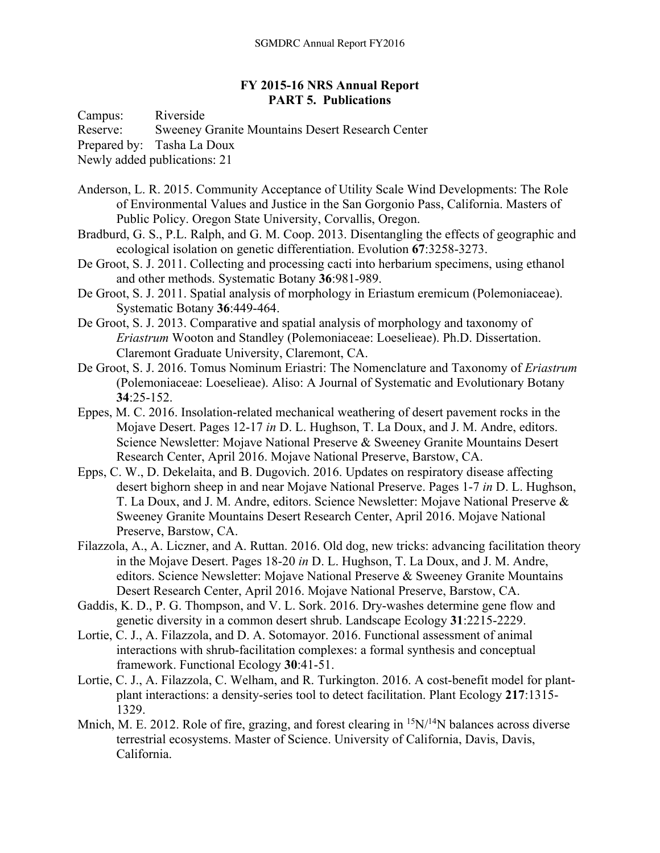## **FY 2015-16 NRS Annual Report PART 5. Publications**

Campus: Riverside

Reserve: Sweeney Granite Mountains Desert Research Center

Prepared by: Tasha La Doux

Newly added publications: 21

- Anderson, L. R. 2015. Community Acceptance of Utility Scale Wind Developments: The Role of Environmental Values and Justice in the San Gorgonio Pass, California. Masters of Public Policy. Oregon State University, Corvallis, Oregon.
- Bradburd, G. S., P.L. Ralph, and G. M. Coop. 2013. Disentangling the effects of geographic and ecological isolation on genetic differentiation. Evolution **67**:3258-3273.
- De Groot, S. J. 2011. Collecting and processing cacti into herbarium specimens, using ethanol and other methods. Systematic Botany **36**:981-989.

De Groot, S. J. 2011. Spatial analysis of morphology in Eriastum eremicum (Polemoniaceae). Systematic Botany **36**:449-464.

- De Groot, S. J. 2013. Comparative and spatial analysis of morphology and taxonomy of *Eriastrum* Wooton and Standley (Polemoniaceae: Loeselieae). Ph.D. Dissertation. Claremont Graduate University, Claremont, CA.
- De Groot, S. J. 2016. Tomus Nominum Eriastri: The Nomenclature and Taxonomy of *Eriastrum* (Polemoniaceae: Loeselieae). Aliso: A Journal of Systematic and Evolutionary Botany **34**:25-152.
- Eppes, M. C. 2016. Insolation-related mechanical weathering of desert pavement rocks in the Mojave Desert. Pages 12-17 *in* D. L. Hughson, T. La Doux, and J. M. Andre, editors. Science Newsletter: Mojave National Preserve & Sweeney Granite Mountains Desert Research Center, April 2016. Mojave National Preserve, Barstow, CA.
- Epps, C. W., D. Dekelaita, and B. Dugovich. 2016. Updates on respiratory disease affecting desert bighorn sheep in and near Mojave National Preserve. Pages 1-7 *in* D. L. Hughson, T. La Doux, and J. M. Andre, editors. Science Newsletter: Mojave National Preserve & Sweeney Granite Mountains Desert Research Center, April 2016. Mojave National Preserve, Barstow, CA.
- Filazzola, A., A. Liczner, and A. Ruttan. 2016. Old dog, new tricks: advancing facilitation theory in the Mojave Desert. Pages 18-20 *in* D. L. Hughson, T. La Doux, and J. M. Andre, editors. Science Newsletter: Mojave National Preserve & Sweeney Granite Mountains Desert Research Center, April 2016. Mojave National Preserve, Barstow, CA.
- Gaddis, K. D., P. G. Thompson, and V. L. Sork. 2016. Dry-washes determine gene flow and genetic diversity in a common desert shrub. Landscape Ecology **31**:2215-2229.
- Lortie, C. J., A. Filazzola, and D. A. Sotomayor. 2016. Functional assessment of animal interactions with shrub-facilitation complexes: a formal synthesis and conceptual framework. Functional Ecology **30**:41-51.
- Lortie, C. J., A. Filazzola, C. Welham, and R. Turkington. 2016. A cost-benefit model for plantplant interactions: a density-series tool to detect facilitation. Plant Ecology **217**:1315- 1329.
- Mnich, M. E. 2012. Role of fire, grazing, and forest clearing in  $15N/14N$  balances across diverse terrestrial ecosystems. Master of Science. University of California, Davis, Davis, California.